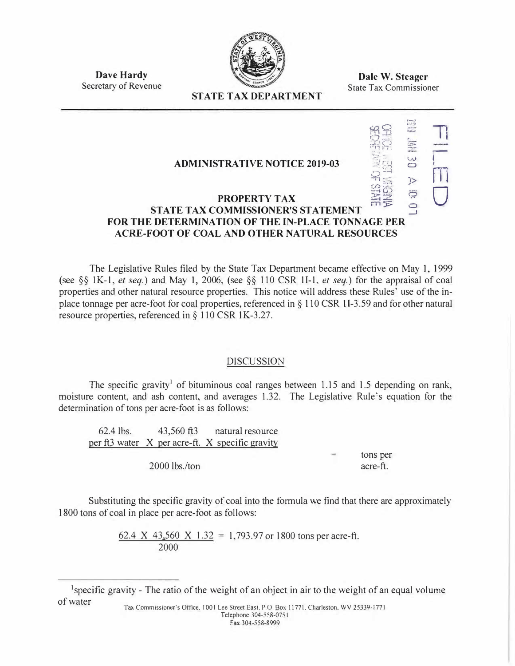

**Dave Hardy**  Secretary of Revenue

**Dale W. Steager**  State Tax Commissioner

 $\frac{1}{2}$   $\frac{1}{2}$ 

..,. .:. ...,

:, --1

 $\frac{1}{2}$ 

11

r t n1

 $\bigcup$ 

ISE 1141

**'"fl: :** J>

# **STATE TAX DEPARTMENT**

### **ADMINISTRATIVE NOTICE 2019-03**

#### *rn :-.:::* ::-4 (,) **PROPERTY TAX m ► STATE TAX COMMISSIONER'S STATEMENT** '.3 **FOR THE DETERMINATION OF THE IN-PLACE TONNAGE PER ACRE-FOOT OF COAL AND OTHER NATURAL RESOURCES**

The Legislative Rules filed by the State Tax Department became effective on May 1, 1999 (see §§ I K-1, *et seq.)* and May 1, 2006, (see §§ 110 CSR 11-1, *et seq.)* for the appraisal of coal properties and other natural resource properties. This notice will address these Rules' use of the inplace tonnage per acre-foot for coal properties, referenced in§ 110 CSR 11-3.59 and for other natural resource properties, referenced in§ 110 CSR IK-3.27.

## DISCUSSION

The specific gravity<sup>1</sup> of bituminous coal ranges between 1.15 and 1.5 depending on rank, moisture content, and ash content, and averages 1.32. The Legislative Rule's equation for the determination of tons per acre-foot is as follows:

| 62.4 lbs. 43,560 ft3 natural resource           |     |          |
|-------------------------------------------------|-----|----------|
| per ft3 water X per acre-ft. X specific gravity |     |          |
|                                                 | $=$ | tons per |
| $2000$ lbs./ton                                 |     | acre-ft. |

Substituting the specific gravity of coal into the formula we find that there are approximately 1800 tons of coal in place per acre-foot as follows:

> 62.4 X 43,560 X 1.32 = 1,793.97 or 1800 tons per acre-ft. 2000

<sup>1</sup> specific gravity - The ratio of the weight of an object in air to the weight of an equal volume of water Ta., Commissioner"s Office, 1001 Lee Street East. P.O. Box 11771. Charleston. WV 25339•1771

Telephone 304-558-075 I Fax 304-558-8999